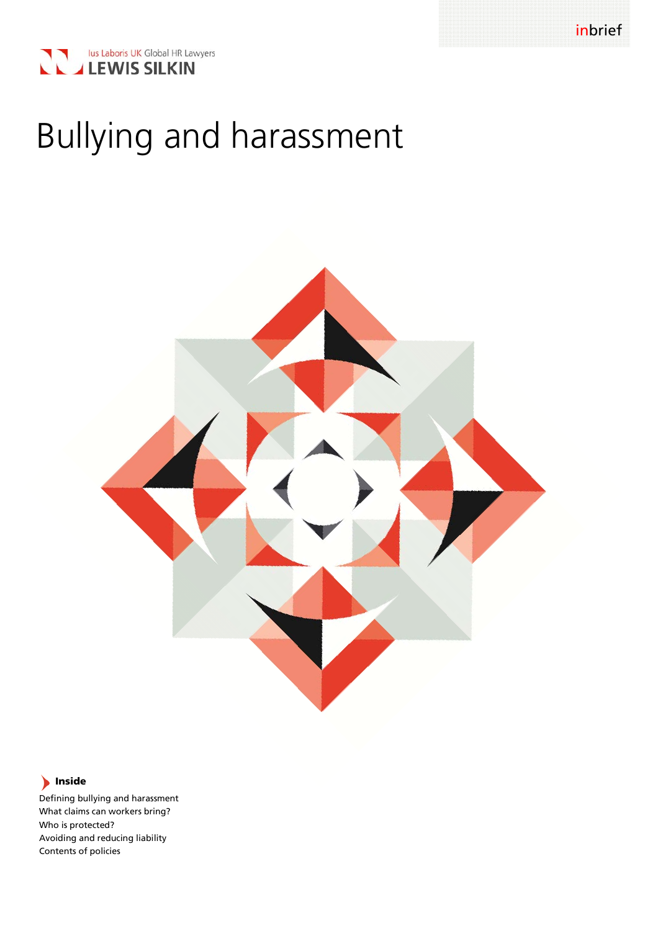



# Bullying and harassment



# **Inside**

Defining bullying and harassment What claims can workers bring? Who is protected? Avoiding and reducing liability Contents of policies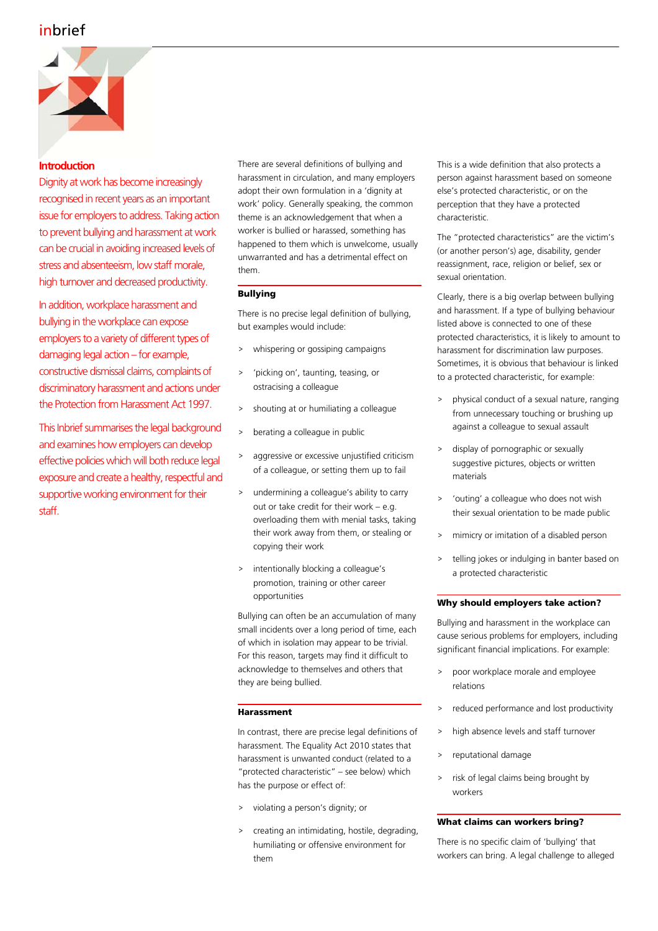# inbrief



## **Introduction**

Dignity at work has become increasingly recognised in recent years as an important issue for employers to address. Taking action to prevent bullying and harassment at work can be crucial in avoiding increased levels of stress and absenteeism, low staff morale, high turnover and decreased productivity.

In addition, workplace harassment and bullying in the workplace can expose employers to a variety of different types of damaging legal action – for example, constructive dismissal claims, complaints of discriminatory harassment and actions under the Protection from Harassment Act 1997.

This Inbrief summarises the legal background and examines how employers can develop effective policies which will both reduce legal exposure and create a healthy, respectful and supportive working environment for their staff.

There are several definitions of bullying and harassment in circulation, and many employers adopt their own formulation in a 'dignity at work' policy. Generally speaking, the common theme is an acknowledgement that when a worker is bullied or harassed, something has happened to them which is unwelcome, usually unwarranted and has a detrimental effect on them.

### **Bullying**

There is no precise legal definition of bullying, but examples would include:

- > whispering or gossiping campaigns
- > 'picking on', taunting, teasing, or ostracising a colleague
- > shouting at or humiliating a colleague
- berating a colleague in public
- > aggressive or excessive unjustified criticism of a colleague, or setting them up to fail
- > undermining a colleague's ability to carry out or take credit for their work  $-$  e.g. overloading them with menial tasks, taking their work away from them, or stealing or copying their work
- > intentionally blocking a colleague's promotion, training or other career opportunities

Bullying can often be an accumulation of many small incidents over a long period of time, each of which in isolation may appear to be trivial. For this reason, targets may find it difficult to acknowledge to themselves and others that they are being bullied.

#### **Harassment**

In contrast, there are precise legal definitions of harassment. The Equality Act 2010 states that harassment is unwanted conduct (related to a "protected characteristic" – see below) which has the purpose or effect of:

- > violating a person's dignity; or
- > creating an intimidating, hostile, degrading, humiliating or offensive environment for them

This is a wide definition that also protects a person against harassment based on someone else's protected characteristic, or on the perception that they have a protected characteristic.

The "protected characteristics" are the victim's (or another person's) age, disability, gender reassignment, race, religion or belief, sex or sexual orientation.

Clearly, there is a big overlap between bullying and harassment. If a type of bullying behaviour listed above is connected to one of these protected characteristics, it is likely to amount to harassment for discrimination law purposes. Sometimes, it is obvious that behaviour is linked to a protected characteristic, for example:

- > physical conduct of a sexual nature, ranging from unnecessary touching or brushing up against a colleague to sexual assault
- display of pornographic or sexually suggestive pictures, objects or written materials
- > 'outing' a colleague who does not wish their sexual orientation to be made public
- > mimicry or imitation of a disabled person
- telling jokes or indulging in banter based on a protected characteristic

#### **Why should employers take action?**

Bullying and harassment in the workplace can cause serious problems for employers, including significant financial implications. For example:

- > poor workplace morale and employee relations
- > reduced performance and lost productivity
- > high absence levels and staff turnover
- > reputational damage
- > risk of legal claims being brought by workers

#### **What claims can workers bring?**

There is no specific claim of 'bullying' that workers can bring. A legal challenge to alleged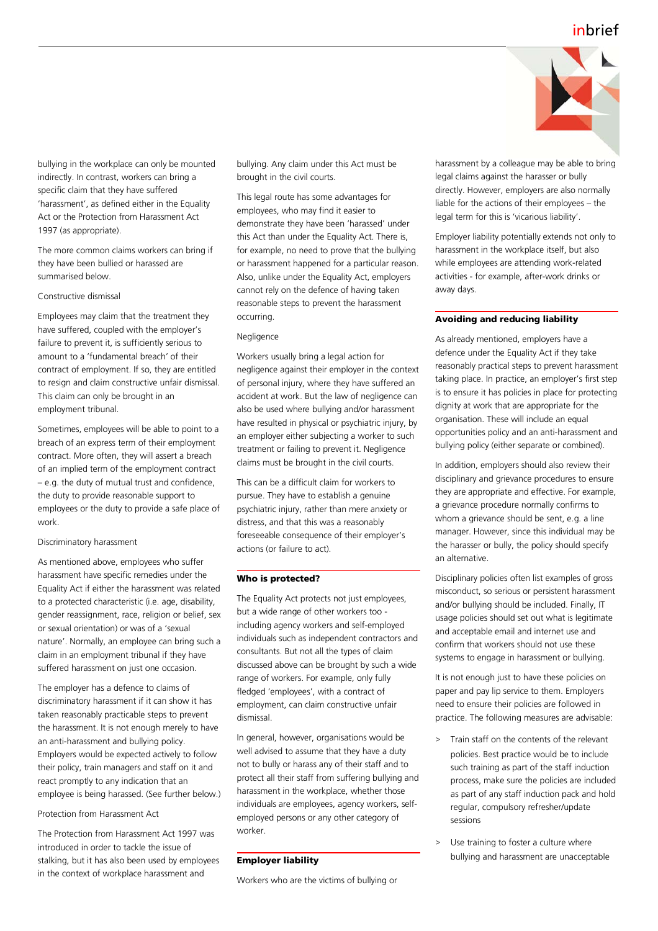

bullying in the workplace can only be mounted indirectly. In contrast, workers can bring a specific claim that they have suffered 'harassment', as defined either in the Equality Act or the Protection from Harassment Act 1997 (as appropriate).

The more common claims workers can bring if they have been bullied or harassed are summarised below.

#### Constructive dismissal

Employees may claim that the treatment they have suffered, coupled with the employer's failure to prevent it, is sufficiently serious to amount to a 'fundamental breach' of their contract of employment. If so, they are entitled to resign and claim constructive unfair dismissal. This claim can only be brought in an employment tribunal.

Sometimes, employees will be able to point to a breach of an express term of their employment contract. More often, they will assert a breach of an implied term of the employment contract – e.g. the duty of mutual trust and confidence, the duty to provide reasonable support to employees or the duty to provide a safe place of work.

#### Discriminatory harassment

As mentioned above, employees who suffer harassment have specific remedies under the Equality Act if either the harassment was related to a protected characteristic (i.e. age, disability, gender reassignment, race, religion or belief, sex or sexual orientation) or was of a 'sexual nature'. Normally, an employee can bring such a claim in an employment tribunal if they have suffered harassment on just one occasion.

The employer has a defence to claims of discriminatory harassment if it can show it has taken reasonably practicable steps to prevent the harassment. It is not enough merely to have an anti-harassment and bullying policy. Employers would be expected actively to follow their policy, train managers and staff on it and react promptly to any indication that an employee is being harassed. (See further below.)

#### Protection from Harassment Act

The Protection from Harassment Act 1997 was introduced in order to tackle the issue of stalking, but it has also been used by employees in the context of workplace harassment and

bullying. Any claim under this Act must be brought in the civil courts.

This legal route has some advantages for employees, who may find it easier to demonstrate they have been 'harassed' under this Act than under the Equality Act. There is, for example, no need to prove that the bullying or harassment happened for a particular reason. Also, unlike under the Equality Act, employers cannot rely on the defence of having taken reasonable steps to prevent the harassment occurring.

#### Negligence

Workers usually bring a legal action for negligence against their employer in the context of personal injury, where they have suffered an accident at work. But the law of negligence can also be used where bullying and/or harassment have resulted in physical or psychiatric injury, by an employer either subjecting a worker to such treatment or failing to prevent it. Negligence claims must be brought in the civil courts.

This can be a difficult claim for workers to pursue. They have to establish a genuine psychiatric injury, rather than mere anxiety or distress, and that this was a reasonably foreseeable consequence of their employer's actions (or failure to act).

#### **Who is protected?**

The Equality Act protects not just employees, but a wide range of other workers too including agency workers and self-employed individuals such as independent contractors and consultants. But not all the types of claim discussed above can be brought by such a wide range of workers. For example, only fully fledged 'employees', with a contract of employment, can claim constructive unfair dismissal.

In general, however, organisations would be well advised to assume that they have a duty not to bully or harass any of their staff and to protect all their staff from suffering bullying and harassment in the workplace, whether those individuals are employees, agency workers, selfemployed persons or any other category of worker.

#### **Employer liability**

Workers who are the victims of bullying or

harassment by a colleague may be able to bring legal claims against the harasser or bully directly. However, employers are also normally liable for the actions of their employees – the legal term for this is 'vicarious liability'.

Employer liability potentially extends not only to harassment in the workplace itself, but also while employees are attending work-related activities - for example, after-work drinks or away days.

#### **Avoiding and reducing liability**

As already mentioned, employers have a defence under the Equality Act if they take reasonably practical steps to prevent harassment taking place. In practice, an employer's first step is to ensure it has policies in place for protecting dignity at work that are appropriate for the organisation. These will include an equal opportunities policy and an anti-harassment and bullying policy (either separate or combined).

In addition, employers should also review their disciplinary and grievance procedures to ensure they are appropriate and effective. For example, a grievance procedure normally confirms to whom a grievance should be sent, e.g. a line manager. However, since this individual may be the harasser or bully, the policy should specify an alternative.

Disciplinary policies often list examples of gross misconduct, so serious or persistent harassment and/or bullying should be included. Finally, IT usage policies should set out what is legitimate and acceptable email and internet use and confirm that workers should not use these systems to engage in harassment or bullying.

It is not enough just to have these policies on paper and pay lip service to them. Employers need to ensure their policies are followed in practice. The following measures are advisable:

- > Train staff on the contents of the relevant policies. Best practice would be to include such training as part of the staff induction process, make sure the policies are included as part of any staff induction pack and hold regular, compulsory refresher/update sessions
- > Use training to foster a culture where bullying and harassment are unacceptable